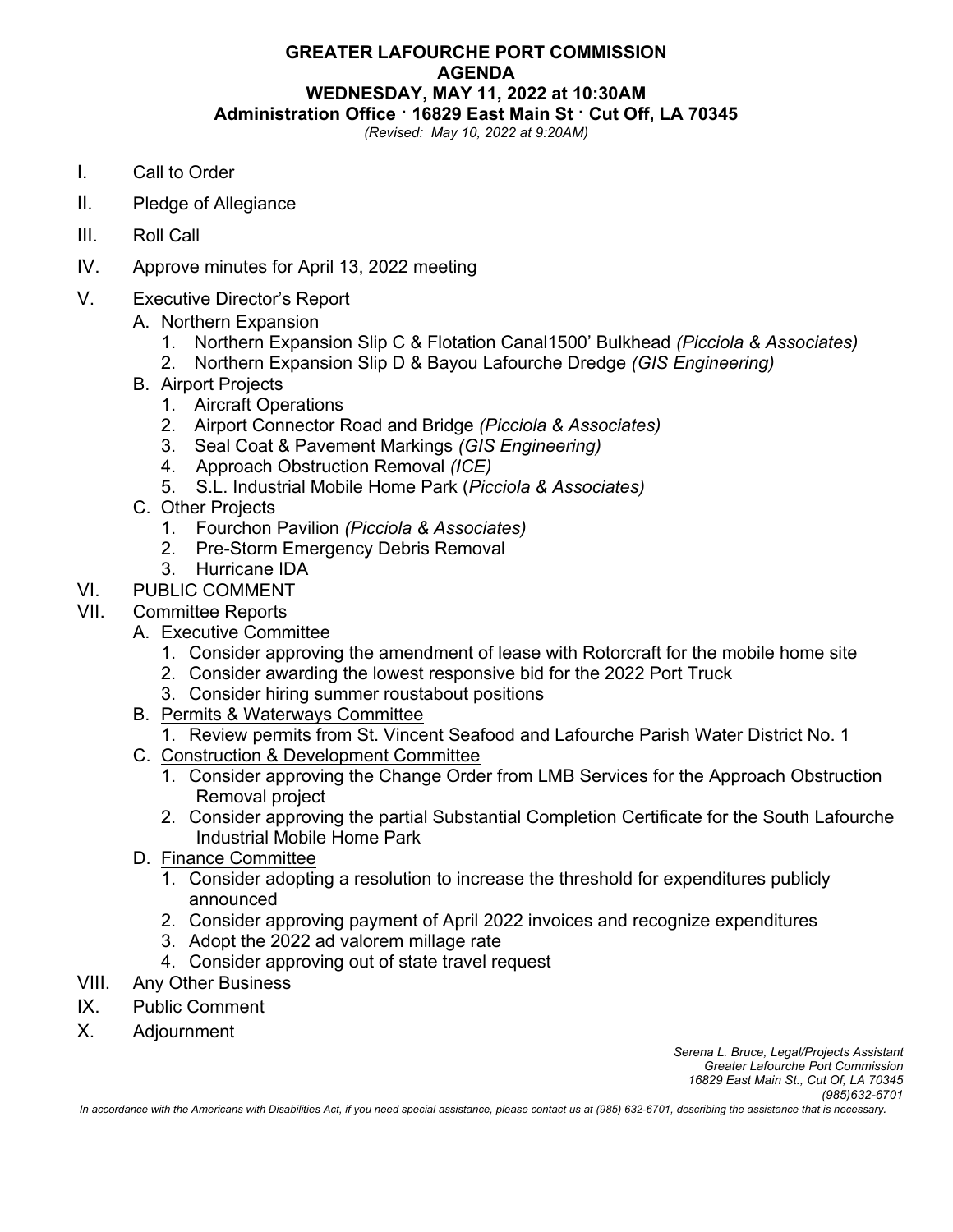# **GREATER LAFOURCHE PORT COMMISSION AGENDA WEDNESDAY, MAY 11, 2022 at 10:30AM**

**Administration Office · 16829 East Main St · Cut Off, LA 70345** 

*(Revised: May 10, 2022 at 9:20AM)* 

- I. Call to Order
- II. Pledge of Allegiance
- III. Roll Call
- IV. Approve minutes for April 13, 2022 meeting
- V. Executive Director's Report
	- A. Northern Expansion
		- 1. Northern Expansion Slip C & Flotation Canal1500' Bulkhead *(Picciola & Associates)*
		- 2. Northern Expansion Slip D & Bayou Lafourche Dredge *(GIS Engineering)*
	- B. Airport Projects
		- 1. Aircraft Operations
		- 2. Airport Connector Road and Bridge *(Picciola & Associates)*
		- 3. Seal Coat & Pavement Markings *(GIS Engineering)*
		- 4. Approach Obstruction Removal *(ICE)*
		- 5. S.L. Industrial Mobile Home Park (*Picciola & Associates)*
	- C. Other Projects
		- 1. Fourchon Pavilion *(Picciola & Associates)*
		- 2. Pre-Storm Emergency Debris Removal
		- 3. Hurricane IDA
- VI. PUBLIC COMMENT
- VII. Committee Reports
	- A. Executive Committee
		- 1. Consider approving the amendment of lease with Rotorcraft for the mobile home site
		- 2. Consider awarding the lowest responsive bid for the 2022 Port Truck
		- 3. Consider hiring summer roustabout positions
	- B. Permits & Waterways Committee
		- 1. Review permits from St. Vincent Seafood and Lafourche Parish Water District No. 1
	- C. Construction & Development Committee
		- 1. Consider approving the Change Order from LMB Services for the Approach Obstruction Removal project
		- 2. Consider approving the partial Substantial Completion Certificate for the South Lafourche Industrial Mobile Home Park
	- D. Finance Committee
		- 1. Consider adopting a resolution to increase the threshold for expenditures publicly announced
		- 2. Consider approving payment of April 2022 invoices and recognize expenditures
		- 3. Adopt the 2022 ad valorem millage rate
		- 4. Consider approving out of state travel request
- VIII. Any Other Business
- IX. Public Comment
- X. Adjournment

*In accordance with the Americans with Disabilities Act, if you need special assistance, please contact us at (985) 632-6701, describing the assistance that is necessary.*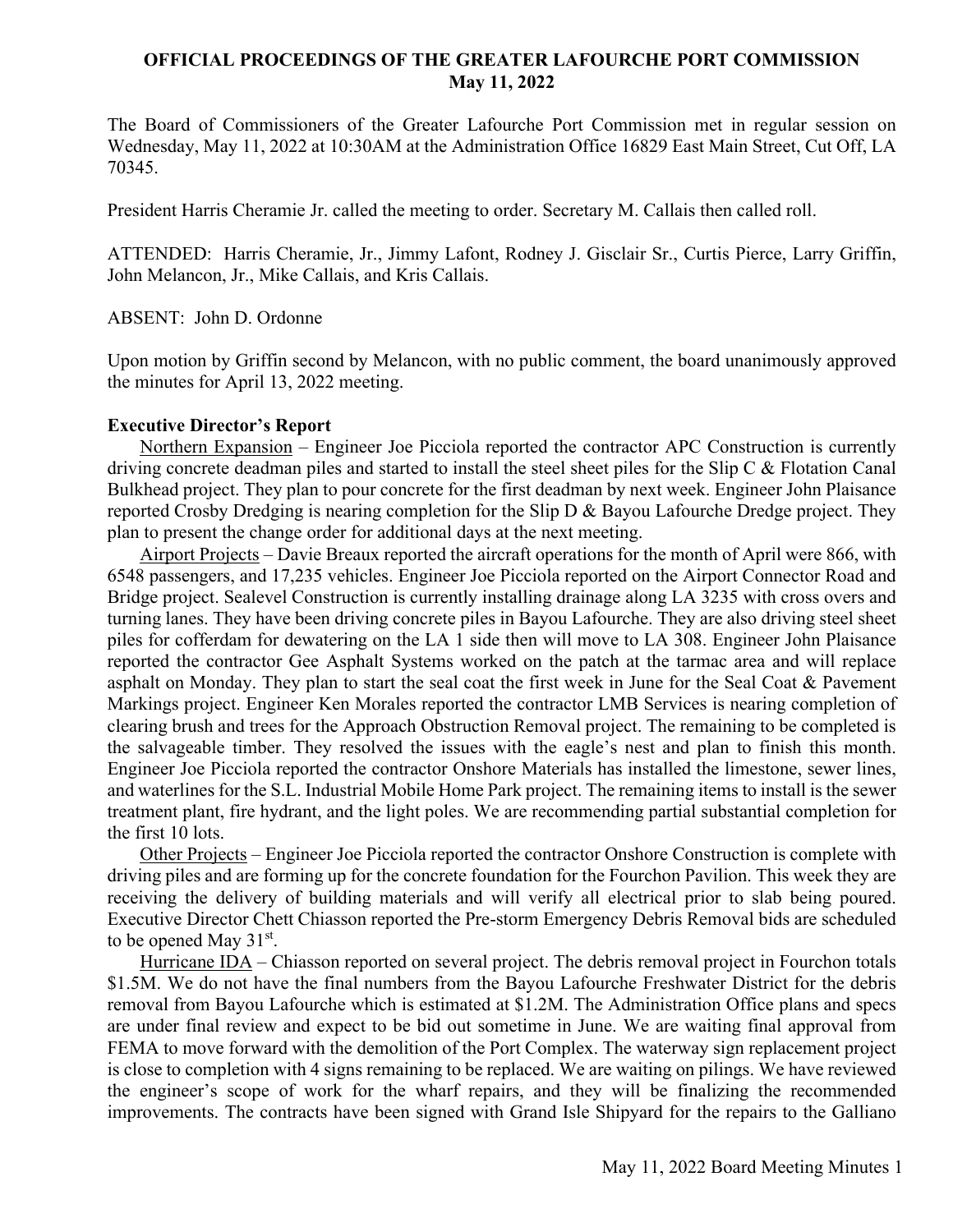# **OFFICIAL PROCEEDINGS OF THE GREATER LAFOURCHE PORT COMMISSION May 11, 2022**

The Board of Commissioners of the Greater Lafourche Port Commission met in regular session on Wednesday, May 11, 2022 at 10:30AM at the Administration Office 16829 East Main Street, Cut Off, LA 70345.

President Harris Cheramie Jr. called the meeting to order. Secretary M. Callais then called roll.

ATTENDED: Harris Cheramie, Jr., Jimmy Lafont, Rodney J. Gisclair Sr., Curtis Pierce, Larry Griffin, John Melancon, Jr., Mike Callais, and Kris Callais.

ABSENT: John D. Ordonne

Upon motion by Griffin second by Melancon, with no public comment, the board unanimously approved the minutes for April 13, 2022 meeting.

### **Executive Director's Report**

Northern Expansion – Engineer Joe Picciola reported the contractor APC Construction is currently driving concrete deadman piles and started to install the steel sheet piles for the Slip C & Flotation Canal Bulkhead project. They plan to pour concrete for the first deadman by next week. Engineer John Plaisance reported Crosby Dredging is nearing completion for the Slip D & Bayou Lafourche Dredge project. They plan to present the change order for additional days at the next meeting.

Airport Projects – Davie Breaux reported the aircraft operations for the month of April were 866, with 6548 passengers, and 17,235 vehicles. Engineer Joe Picciola reported on the Airport Connector Road and Bridge project. Sealevel Construction is currently installing drainage along LA 3235 with cross overs and turning lanes. They have been driving concrete piles in Bayou Lafourche. They are also driving steel sheet piles for cofferdam for dewatering on the LA 1 side then will move to LA 308. Engineer John Plaisance reported the contractor Gee Asphalt Systems worked on the patch at the tarmac area and will replace asphalt on Monday. They plan to start the seal coat the first week in June for the Seal Coat & Pavement Markings project. Engineer Ken Morales reported the contractor LMB Services is nearing completion of clearing brush and trees for the Approach Obstruction Removal project. The remaining to be completed is the salvageable timber. They resolved the issues with the eagle's nest and plan to finish this month. Engineer Joe Picciola reported the contractor Onshore Materials has installed the limestone, sewer lines, and waterlines for the S.L. Industrial Mobile Home Park project. The remaining items to install is the sewer treatment plant, fire hydrant, and the light poles. We are recommending partial substantial completion for the first 10 lots.

Other Projects – Engineer Joe Picciola reported the contractor Onshore Construction is complete with driving piles and are forming up for the concrete foundation for the Fourchon Pavilion. This week they are receiving the delivery of building materials and will verify all electrical prior to slab being poured. Executive Director Chett Chiasson reported the Pre-storm Emergency Debris Removal bids are scheduled to be opened May 31<sup>st</sup>.

Hurricane IDA – Chiasson reported on several project. The debris removal project in Fourchon totals \$1.5M. We do not have the final numbers from the Bayou Lafourche Freshwater District for the debris removal from Bayou Lafourche which is estimated at \$1.2M. The Administration Office plans and specs are under final review and expect to be bid out sometime in June. We are waiting final approval from FEMA to move forward with the demolition of the Port Complex. The waterway sign replacement project is close to completion with 4 signs remaining to be replaced. We are waiting on pilings. We have reviewed the engineer's scope of work for the wharf repairs, and they will be finalizing the recommended improvements. The contracts have been signed with Grand Isle Shipyard for the repairs to the Galliano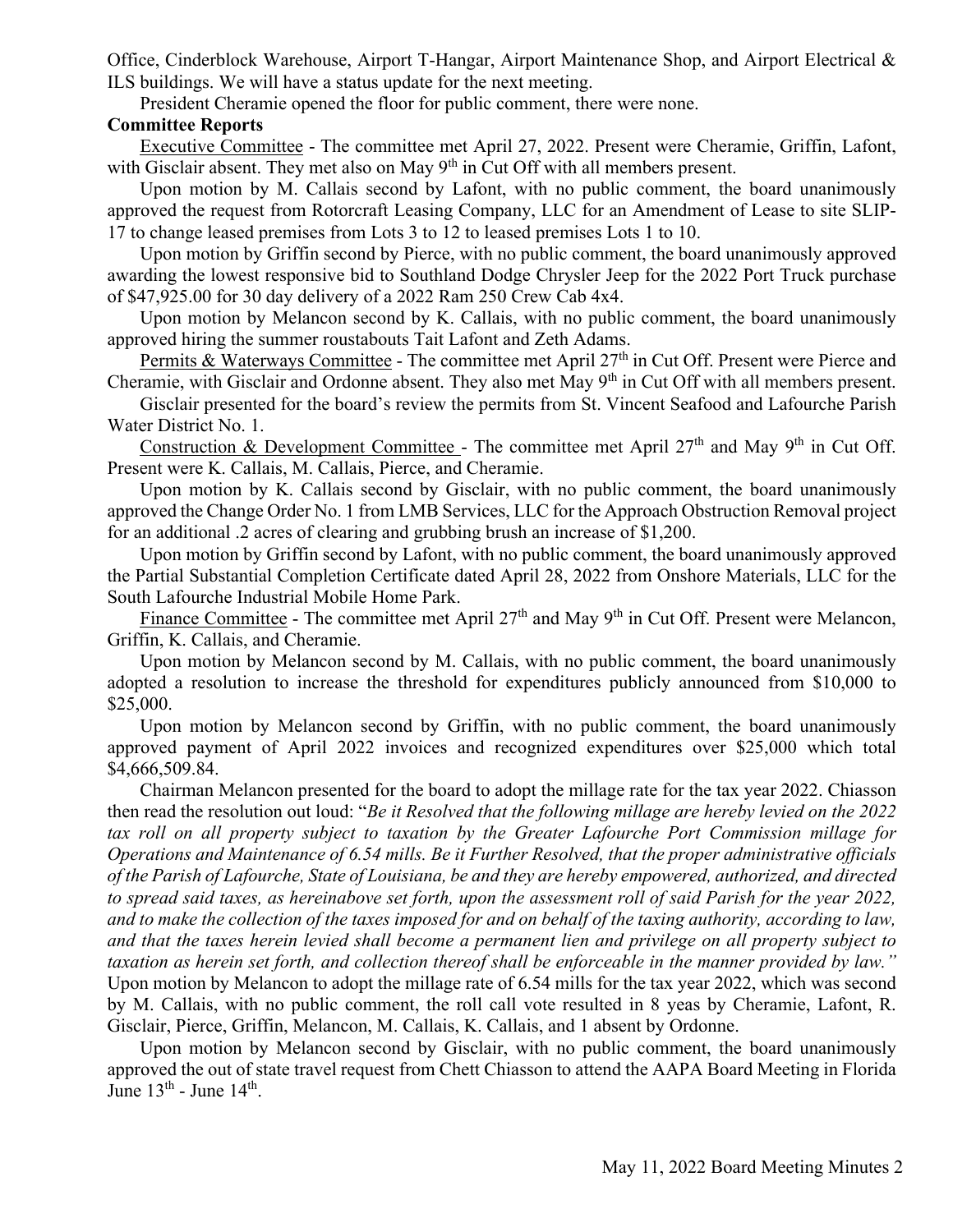Office, Cinderblock Warehouse, Airport T-Hangar, Airport Maintenance Shop, and Airport Electrical & ILS buildings. We will have a status update for the next meeting.

President Cheramie opened the floor for public comment, there were none.

## **Committee Reports**

Executive Committee - The committee met April 27, 2022. Present were Cheramie, Griffin, Lafont, with Gisclair absent. They met also on May  $9<sup>th</sup>$  in Cut Off with all members present.

Upon motion by M. Callais second by Lafont, with no public comment, the board unanimously approved the request from Rotorcraft Leasing Company, LLC for an Amendment of Lease to site SLIP-17 to change leased premises from Lots 3 to 12 to leased premises Lots 1 to 10.

 Upon motion by Griffin second by Pierce, with no public comment, the board unanimously approved awarding the lowest responsive bid to Southland Dodge Chrysler Jeep for the 2022 Port Truck purchase of \$47,925.00 for 30 day delivery of a 2022 Ram 250 Crew Cab 4x4.

Upon motion by Melancon second by K. Callais, with no public comment, the board unanimously approved hiring the summer roustabouts Tait Lafont and Zeth Adams.

Permits & Waterways Committee - The committee met April 27<sup>th</sup> in Cut Off. Present were Pierce and Cheramie, with Gisclair and Ordonne absent. They also met May 9th in Cut Off with all members present.

Gisclair presented for the board's review the permits from St. Vincent Seafood and Lafourche Parish Water District No. 1.

Construction & Development Committee - The committee met April  $27<sup>th</sup>$  and May 9<sup>th</sup> in Cut Off. Present were K. Callais, M. Callais, Pierce, and Cheramie.

Upon motion by K. Callais second by Gisclair, with no public comment, the board unanimously approved the Change Order No. 1 from LMB Services, LLC for the Approach Obstruction Removal project for an additional .2 acres of clearing and grubbing brush an increase of \$1,200.

Upon motion by Griffin second by Lafont, with no public comment, the board unanimously approved the Partial Substantial Completion Certificate dated April 28, 2022 from Onshore Materials, LLC for the South Lafourche Industrial Mobile Home Park.

Finance Committee - The committee met April 27<sup>th</sup> and May 9<sup>th</sup> in Cut Off. Present were Melancon, Griffin, K. Callais, and Cheramie.

Upon motion by Melancon second by M. Callais, with no public comment, the board unanimously adopted a resolution to increase the threshold for expenditures publicly announced from \$10,000 to \$25,000.

Upon motion by Melancon second by Griffin, with no public comment, the board unanimously approved payment of April 2022 invoices and recognized expenditures over \$25,000 which total \$4,666,509.84.

Chairman Melancon presented for the board to adopt the millage rate for the tax year 2022. Chiasson then read the resolution out loud: "*Be it Resolved that the following millage are hereby levied on the 2022 tax roll on all property subject to taxation by the Greater Lafourche Port Commission millage for Operations and Maintenance of 6.54 mills. Be it Further Resolved, that the proper administrative officials of the Parish of Lafourche, State of Louisiana, be and they are hereby empowered, authorized, and directed to spread said taxes, as hereinabove set forth, upon the assessment roll of said Parish for the year 2022, and to make the collection of the taxes imposed for and on behalf of the taxing authority, according to law, and that the taxes herein levied shall become a permanent lien and privilege on all property subject to taxation as herein set forth, and collection thereof shall be enforceable in the manner provided by law."*  Upon motion by Melancon to adopt the millage rate of 6.54 mills for the tax year 2022, which was second by M. Callais, with no public comment, the roll call vote resulted in 8 yeas by Cheramie, Lafont, R. Gisclair, Pierce, Griffin, Melancon, M. Callais, K. Callais, and 1 absent by Ordonne.

Upon motion by Melancon second by Gisclair, with no public comment, the board unanimously approved the out of state travel request from Chett Chiasson to attend the AAPA Board Meeting in Florida June  $13<sup>th</sup>$  - June  $14<sup>th</sup>$ .